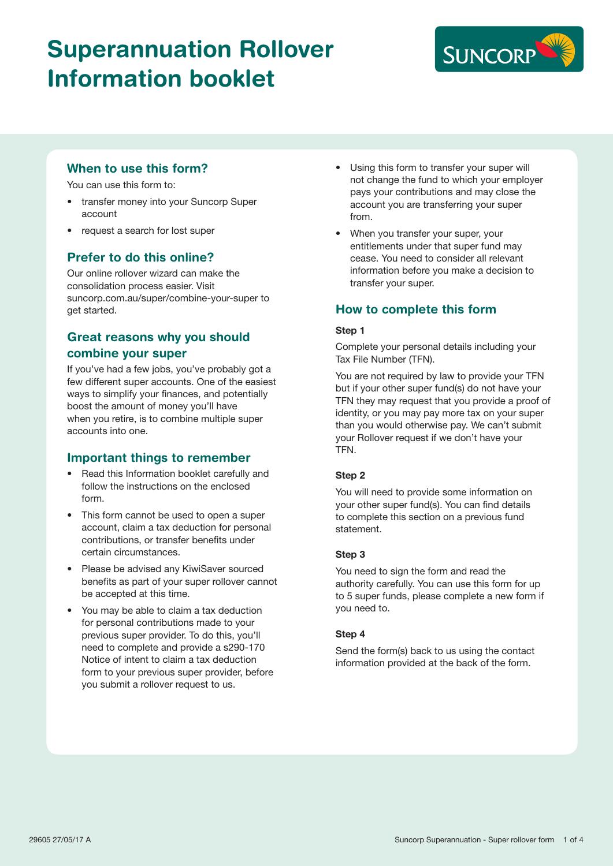# Superannuation Rollover Information booklet



### When to use this form?

You can use this form to:

- transfer money into your Suncorp Super account
- request a search for lost super

### Prefer to do this online?

Our online rollover wizard can make the consolidation process easier. Visit suncorp.com.au/super/combine-your-super to get started.

### Great reasons why you should combine your super

If you've had a few jobs, you've probably got a few different super accounts. One of the easiest ways to simplify your finances, and potentially boost the amount of money you'll have when you retire, is to combine multiple super accounts into one.

### Important things to remember

- Read this Information booklet carefully and follow the instructions on the enclosed form.
- This form cannot be used to open a super account, claim a tax deduction for personal contributions, or transfer benefits under certain circumstances.
- Please be advised any KiwiSaver sourced benefits as part of your super rollover cannot be accepted at this time.
- You may be able to claim a tax deduction for personal contributions made to your previous super provider. To do this, you'll need to complete and provide a s290-170 Notice of intent to claim a tax deduction form to your previous super provider, before you submit a rollover request to us.
- Using this form to transfer your super will not change the fund to which your employer pays your contributions and may close the account you are transferring your super from.
- When you transfer your super, your entitlements under that super fund may cease. You need to consider all relevant information before you make a decision to transfer your super.

### How to complete this form

### Step 1

Complete your personal details including your Tax File Number (TFN).

You are not required by law to provide your TFN but if your other super fund(s) do not have your TFN they may request that you provide a proof of identity, or you may pay more tax on your super than you would otherwise pay. We can't submit your Rollover request if we don't have your TFN.

### Step 2

You will need to provide some information on your other super fund(s). You can find details to complete this section on a previous fund statement.

### Step 3

You need to sign the form and read the authority carefully. You can use this form for up to 5 super funds, please complete a new form if you need to.

### Step 4

Send the form(s) back to us using the contact information provided at the back of the form.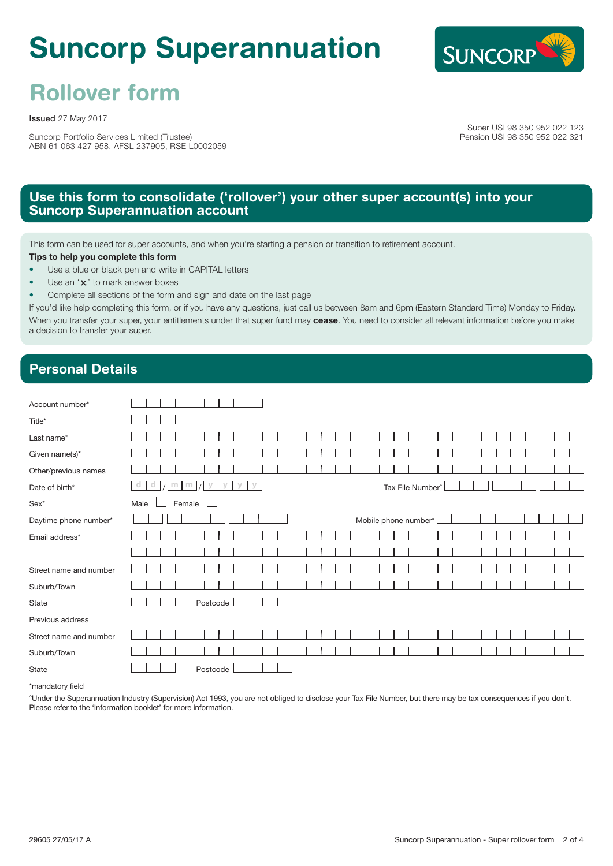# Suncorp Superannuation



# Rollover form

Issued 27 May 2017

Suncorp Portfolio Services Limited (Trustee) ABN 61 063 427 958, AFSL 237905, RSE L0002059

Super USI 98 350 952 022 123 Pension USI 98 350 952 022 321

### Use this form to consolidate ('rollover') your other super account(s) into your **Suncorp Superannuation account**

This form can be used for super accounts, and when you're starting a pension or transition to retirement account.

Tips to help you complete this form

- Use a blue or black pen and write in CAPITAL letters
- Use an 'x' to mark answer boxes
- Complete all sections of the form and sign and date on the last page

If you'd like help completing this form, or if you have any questions, just call us between 8am and 6pm (Eastern Standard Time) Monday to Friday. When you transfer your super, your entitlements under that super fund may cease. You need to consider all relevant information before you make a decision to transfer your super.

# Personal Details

| Account number*        |                                                               |  |  |  |  |  |  |  |  |  |  |  |  |  |  |
|------------------------|---------------------------------------------------------------|--|--|--|--|--|--|--|--|--|--|--|--|--|--|
| Title*                 |                                                               |  |  |  |  |  |  |  |  |  |  |  |  |  |  |
| Last name*             |                                                               |  |  |  |  |  |  |  |  |  |  |  |  |  |  |
| Given name(s)*         |                                                               |  |  |  |  |  |  |  |  |  |  |  |  |  |  |
| Other/previous names   |                                                               |  |  |  |  |  |  |  |  |  |  |  |  |  |  |
| Date of birth*         | $m$ $m$ $y$ $y$ $y$ $y$<br>$\alpha$<br>Tax File Number^<br>a. |  |  |  |  |  |  |  |  |  |  |  |  |  |  |
| $Sex*$                 | Male<br>Female                                                |  |  |  |  |  |  |  |  |  |  |  |  |  |  |
| Daytime phone number*  | Mobile phone number*                                          |  |  |  |  |  |  |  |  |  |  |  |  |  |  |
| Email address*         |                                                               |  |  |  |  |  |  |  |  |  |  |  |  |  |  |
|                        |                                                               |  |  |  |  |  |  |  |  |  |  |  |  |  |  |
| Street name and number |                                                               |  |  |  |  |  |  |  |  |  |  |  |  |  |  |
| Suburb/Town            |                                                               |  |  |  |  |  |  |  |  |  |  |  |  |  |  |
| State                  | Postcode                                                      |  |  |  |  |  |  |  |  |  |  |  |  |  |  |
| Previous address       |                                                               |  |  |  |  |  |  |  |  |  |  |  |  |  |  |
| Street name and number |                                                               |  |  |  |  |  |  |  |  |  |  |  |  |  |  |
| Suburb/Town            |                                                               |  |  |  |  |  |  |  |  |  |  |  |  |  |  |
| State                  | Postcode                                                      |  |  |  |  |  |  |  |  |  |  |  |  |  |  |

\*mandatory field

^Under the Superannuation Industry (Supervision) Act 1993, you are not obliged to disclose your Tax File Number, but there may be tax consequences if you don't. Please refer to the 'Information booklet' for more information.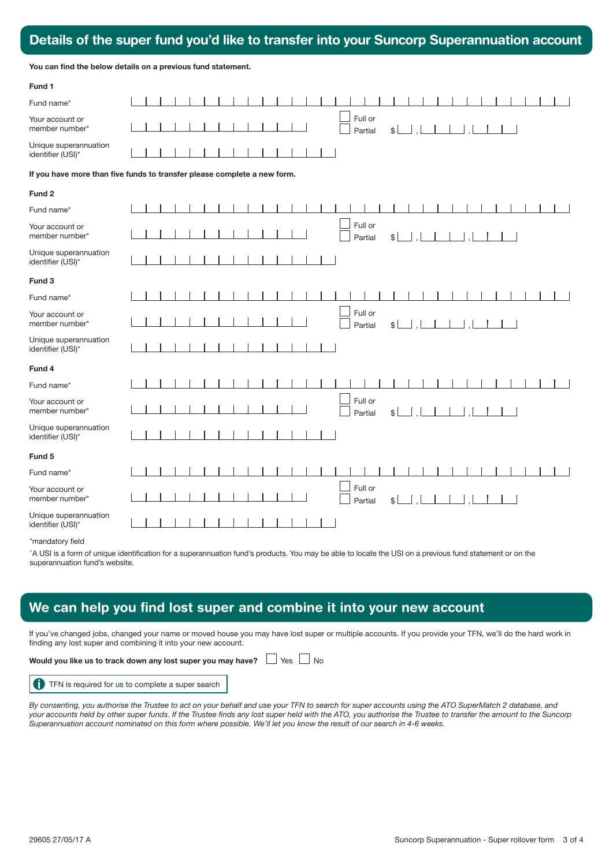# Details of the super fund you'd like to transfer into your Suncorp Superannuation account

| <b>PULLED OF THE UPON TWING YOU'D HIM TO THE HIM YOU CONTOOID OUPONER</b> |  |  |
|---------------------------------------------------------------------------|--|--|
|                                                                           |  |  |
| You can find the below details on a previous fund statement.              |  |  |

| Fund 1                                                                   |  |  |  |  |  |  |  |  |  |  |  |  |  |  |  |  |         |                    |     |               |                |  |  |  |  |  |  |  |
|--------------------------------------------------------------------------|--|--|--|--|--|--|--|--|--|--|--|--|--|--|--|--|---------|--------------------|-----|---------------|----------------|--|--|--|--|--|--|--|
| Fund name*                                                               |  |  |  |  |  |  |  |  |  |  |  |  |  |  |  |  |         |                    |     |               |                |  |  |  |  |  |  |  |
| Your account or<br>member number*                                        |  |  |  |  |  |  |  |  |  |  |  |  |  |  |  |  | Full or | Partial            |     | $\frac{1}{2}$ |                |  |  |  |  |  |  |  |
| Unique superannuation<br>identifier (USI)*                               |  |  |  |  |  |  |  |  |  |  |  |  |  |  |  |  |         |                    |     |               |                |  |  |  |  |  |  |  |
| If you have more than five funds to transfer please complete a new form. |  |  |  |  |  |  |  |  |  |  |  |  |  |  |  |  |         |                    |     |               |                |  |  |  |  |  |  |  |
| Fund <sub>2</sub>                                                        |  |  |  |  |  |  |  |  |  |  |  |  |  |  |  |  |         |                    |     |               |                |  |  |  |  |  |  |  |
| Fund name*                                                               |  |  |  |  |  |  |  |  |  |  |  |  |  |  |  |  |         |                    |     |               |                |  |  |  |  |  |  |  |
| Your account or<br>member number*                                        |  |  |  |  |  |  |  |  |  |  |  |  |  |  |  |  |         | Full or<br>Partial | \$L |               | -, l           |  |  |  |  |  |  |  |
| Unique superannuation<br>identifier (USI)*                               |  |  |  |  |  |  |  |  |  |  |  |  |  |  |  |  |         |                    |     |               |                |  |  |  |  |  |  |  |
| Fund 3                                                                   |  |  |  |  |  |  |  |  |  |  |  |  |  |  |  |  |         |                    |     |               |                |  |  |  |  |  |  |  |
| Fund name*                                                               |  |  |  |  |  |  |  |  |  |  |  |  |  |  |  |  |         |                    |     |               |                |  |  |  |  |  |  |  |
| Your account or<br>member number*                                        |  |  |  |  |  |  |  |  |  |  |  |  |  |  |  |  | Full or | Partial            |     | $\frac{1}{2}$ | $\blacksquare$ |  |  |  |  |  |  |  |
| Unique superannuation<br>identifier (USI)*                               |  |  |  |  |  |  |  |  |  |  |  |  |  |  |  |  |         |                    |     |               |                |  |  |  |  |  |  |  |
| Fund 4                                                                   |  |  |  |  |  |  |  |  |  |  |  |  |  |  |  |  |         |                    |     |               |                |  |  |  |  |  |  |  |
| Fund name*                                                               |  |  |  |  |  |  |  |  |  |  |  |  |  |  |  |  |         |                    |     |               |                |  |  |  |  |  |  |  |
| Your account or<br>member number*                                        |  |  |  |  |  |  |  |  |  |  |  |  |  |  |  |  |         | Full or<br>Partial | \$L |               |                |  |  |  |  |  |  |  |
| Unique superannuation<br>identifier (USI)*                               |  |  |  |  |  |  |  |  |  |  |  |  |  |  |  |  |         |                    |     |               |                |  |  |  |  |  |  |  |
| Fund 5                                                                   |  |  |  |  |  |  |  |  |  |  |  |  |  |  |  |  |         |                    |     |               |                |  |  |  |  |  |  |  |
| Fund name*                                                               |  |  |  |  |  |  |  |  |  |  |  |  |  |  |  |  |         |                    |     |               |                |  |  |  |  |  |  |  |
| Your account or<br>member number*                                        |  |  |  |  |  |  |  |  |  |  |  |  |  |  |  |  |         | Full or<br>Partial | \$L |               |                |  |  |  |  |  |  |  |
| Unique superannuation<br>identifier (USI)*                               |  |  |  |  |  |  |  |  |  |  |  |  |  |  |  |  |         |                    |     |               |                |  |  |  |  |  |  |  |
| We are a substant and off off at                                         |  |  |  |  |  |  |  |  |  |  |  |  |  |  |  |  |         |                    |     |               |                |  |  |  |  |  |  |  |

\*mandatory field

^A USI is a form of unique identification for a superannuation fund's products. You may be able to locate the USI on a previous fund statement or on the superannuation fund's website.

## We can help you find lost super and combine it into your new account

If you've changed jobs, changed your name or moved house you may have lost super or multiple accounts. If you provide your TFN, we'll do the hard work in finding any lost super and combining it into your new account.

### Would you like us to track down any lost super you may have?  $\Box$  Yes  $\Box$  No



*By consenting, you authorise the Trustee to act on your behalf and use your TFN to search for super accounts using the ATO SuperMatch 2 database, and your accounts held by other super funds. If the Trustee finds any lost super held with the ATO, you authorise the Trustee to transfer the amount to the Suncorp Superannuation account nominated on this form where possible. We'll let you know the result of our search in 4-6 weeks.*